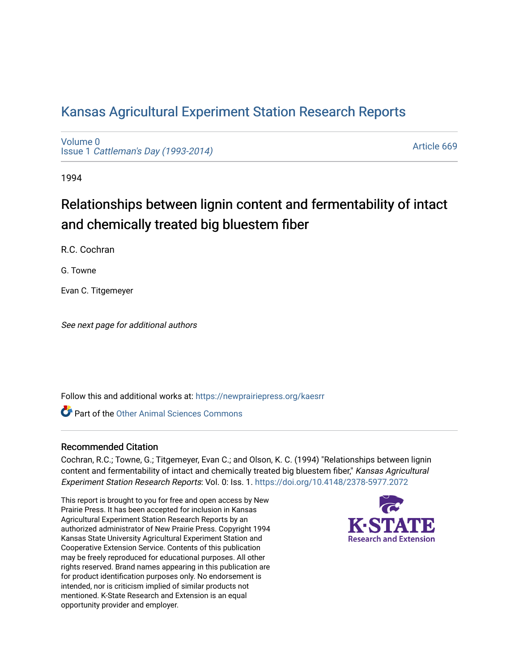# [Kansas Agricultural Experiment Station Research Reports](https://newprairiepress.org/kaesrr)

[Volume 0](https://newprairiepress.org/kaesrr/vol0) Issue 1 [Cattleman's Day \(1993-2014\)](https://newprairiepress.org/kaesrr/vol0/iss1) 

[Article 669](https://newprairiepress.org/kaesrr/vol0/iss1/669) 

1994

# Relationships between lignin content and fermentability of intact and chemically treated big bluestem fiber

R.C. Cochran

G. Towne

Evan C. Titgemeyer

See next page for additional authors

Follow this and additional works at: [https://newprairiepress.org/kaesrr](https://newprairiepress.org/kaesrr?utm_source=newprairiepress.org%2Fkaesrr%2Fvol0%2Fiss1%2F669&utm_medium=PDF&utm_campaign=PDFCoverPages) 

**C** Part of the [Other Animal Sciences Commons](http://network.bepress.com/hgg/discipline/82?utm_source=newprairiepress.org%2Fkaesrr%2Fvol0%2Fiss1%2F669&utm_medium=PDF&utm_campaign=PDFCoverPages)

#### Recommended Citation

Cochran, R.C.; Towne, G.; Titgemeyer, Evan C.; and Olson, K. C. (1994) "Relationships between lignin content and fermentability of intact and chemically treated big bluestem fiber," Kansas Agricultural Experiment Station Research Reports: Vol. 0: Iss. 1. <https://doi.org/10.4148/2378-5977.2072>

This report is brought to you for free and open access by New Prairie Press. It has been accepted for inclusion in Kansas Agricultural Experiment Station Research Reports by an authorized administrator of New Prairie Press. Copyright 1994 Kansas State University Agricultural Experiment Station and Cooperative Extension Service. Contents of this publication may be freely reproduced for educational purposes. All other rights reserved. Brand names appearing in this publication are for product identification purposes only. No endorsement is intended, nor is criticism implied of similar products not mentioned. K-State Research and Extension is an equal opportunity provider and employer.

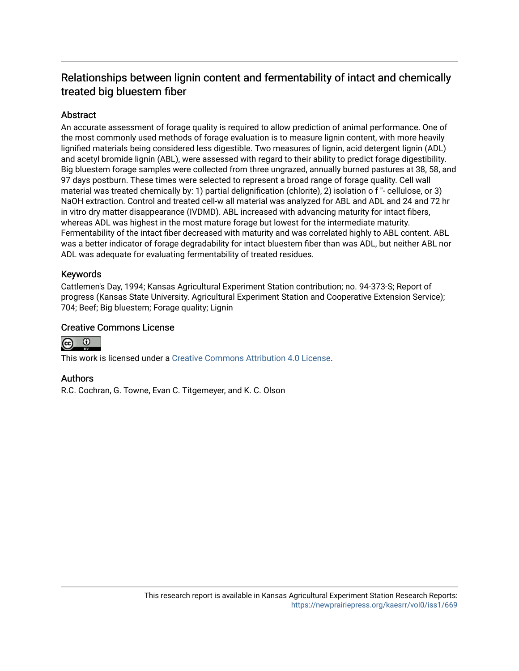# Relationships between lignin content and fermentability of intact and chemically treated big bluestem fiber

## **Abstract**

An accurate assessment of forage quality is required to allow prediction of animal performance. One of the most commonly used methods of forage evaluation is to measure lignin content, with more heavily lignified materials being considered less digestible. Two measures of lignin, acid detergent lignin (ADL) and acetyl bromide lignin (ABL), were assessed with regard to their ability to predict forage digestibility. Big bluestem forage samples were collected from three ungrazed, annually burned pastures at 38, 58, and 97 days postburn. These times were selected to represent a broad range of forage quality. Cell wall material was treated chemically by: 1) partial delignification (chlorite), 2) isolation o f "- cellulose, or 3) NaOH extraction. Control and treated cell-w all material was analyzed for ABL and ADL and 24 and 72 hr in vitro dry matter disappearance (IVDMD). ABL increased with advancing maturity for intact fibers, whereas ADL was highest in the most mature forage but lowest for the intermediate maturity. Fermentability of the intact fiber decreased with maturity and was correlated highly to ABL content. ABL was a better indicator of forage degradability for intact bluestem fiber than was ADL, but neither ABL nor ADL was adequate for evaluating fermentability of treated residues.

## Keywords

Cattlemen's Day, 1994; Kansas Agricultural Experiment Station contribution; no. 94-373-S; Report of progress (Kansas State University. Agricultural Experiment Station and Cooperative Extension Service); 704; Beef; Big bluestem; Forage quality; Lignin

### Creative Commons License



This work is licensed under a [Creative Commons Attribution 4.0 License](https://creativecommons.org/licenses/by/4.0/).

#### Authors

R.C. Cochran, G. Towne, Evan C. Titgemeyer, and K. C. Olson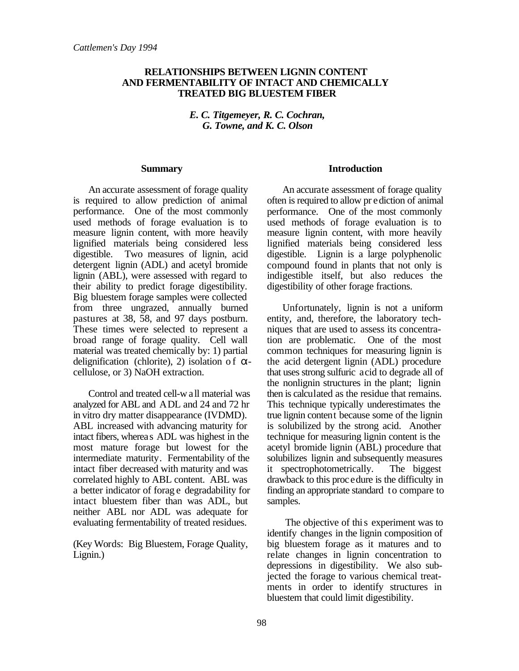#### **RELATIONSHIPS BETWEEN LIGNIN CONTENT AND FERMENTABILITY OF INTACT AND CHEMICALLY TREATED BIG BLUESTEM FIBER**

*E. C. Titgemeyer, R. C. Cochran, G. Towne, and K. C. Olson*

#### **Summary**

An accurate assessment of forage quality is required to allow prediction of animal performance. One of the most commonly used methods of forage evaluation is to measure lignin content, with more heavily lignified materials being considered less digestible. Two measures of lignin, acid detergent lignin (ADL) and acetyl bromide lignin (ABL), were assessed with regard to their ability to predict forage digestibility. Big bluestem forage samples were collected from three ungrazed, annually burned pastures at 38, 58, and 97 days postburn. These times were selected to represent a broad range of forage quality. Cell wall material was treated chemically by: 1) partial delignification (chlorite), 2) isolation of  $\alpha$ cellulose, or 3) NaOH extraction.

Control and treated cell-w all material was analyzed for ABL and ADL and 24 and 72 hr in vitro dry matter disappearance (IVDMD). ABL increased with advancing maturity for intact fibers, whereas ADL was highest in the most mature forage but lowest for the intermediate maturity. Fermentability of the intact fiber decreased with maturity and was correlated highly to ABL content. ABL was a better indicator of forag e degradability for intact bluestem fiber than was ADL, but neither ABL nor ADL was adequate for evaluating fermentability of treated residues.

(Key Words: Big Bluestem, Forage Quality, Lignin.)

#### **Introduction**

An accurate assessment of forage quality often is required to allow pr ediction of animal performance. One of the most commonly used methods of forage evaluation is to measure lignin content, with more heavily lignified materials being considered less digestible. Lignin is a large polyphenolic compound found in plants that not only is indigestible itself, but also reduces the digestibility of other forage fractions.

Unfortunately, lignin is not a uniform entity, and, therefore, the laboratory techniques that are used to assess its concentration are problematic. One of the most common techniques for measuring lignin is the acid detergent lignin (ADL) procedure that uses strong sulfuric acid to degrade all of the nonlignin structures in the plant; lignin then is calculated as the residue that remains. This technique typically underestimates the true lignin content because some of the lignin is solubilized by the strong acid. Another technique for measuring lignin content is the acetyl bromide lignin (ABL) procedure that solubilizes lignin and subsequently measures<br>it spectrophotometrically. The biggest it spectrophotometrically. drawback to this procedure is the difficulty in finding an appropriate standard to compare to samples.

 The objective of thi s experiment was to identify changes in the lignin composition of big bluestem forage as it matures and to relate changes in lignin concentration to depressions in digestibility. We also subjected the forage to various chemical treatments in order to identify structures in bluestem that could limit digestibility.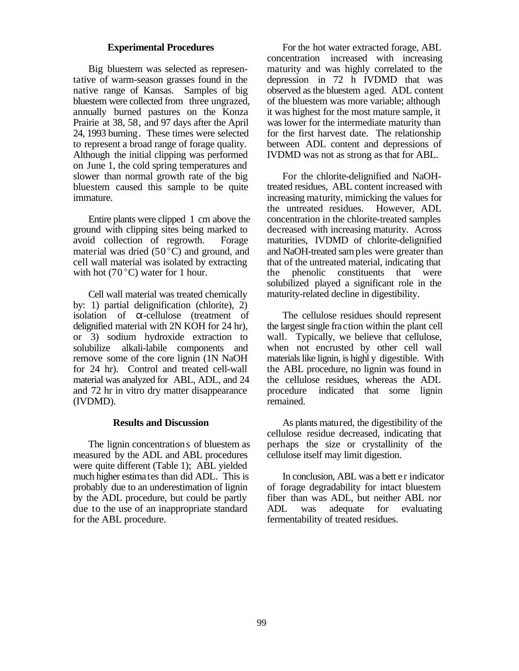#### **Experimental Procedures**

Big bluestem was selected as representative of warm-season grasses found in the native range of Kansas. Samples of big bluestem were collected from three ungrazed, annually burned pastures on the Konza Prairie at 38, 58, and 97 days after the April 24, 1993 burning. These times were selected to represent a broad range of forage quality. Although the initial clipping was performed on June 1, the cold spring temperatures and slower than normal growth rate of the big bluestem caused this sample to be quite immature.

Entire plants were clipped 1 cm above the ground with clipping sites being marked to avoid collection of regrowth. Forage material was dried  $(50^{\circ}C)$  and ground, and cell wall material was isolated by extracting with hot  $(70^{\circ}$ C) water for 1 hour.

Cell wall material was treated chemically by: 1) partial delignification (chlorite), 2) isolation of  $\alpha$ -cellulose (treatment of delignified material with 2N KOH for 24 hr), or 3) sodium hydroxide extraction to solubilize alkali-labile components and remove some of the core lignin (1N NaOH for 24 hr). Control and treated cell-wall material was analyzed for ABL, ADL, and 24 and 72 hr in vitro dry matter disappearance (IVDMD).

#### **Results and Discussion**

The lignin concentration s of bluestem as measured by the ADL and ABL procedures were quite different (Table 1); ABL yielded much higher estimates than did ADL. This is probably due to an underestimation of lignin by the ADL procedure, but could be partly due to the use of an inappropriate standard for the ABL procedure.

For the hot water extracted forage, ABL concentration increased with increasing maturity and was highly correlated to the depression in 72 h IVDMD that was observed as the bluestem aged. ADL content of the bluestem was more variable; although it was highest for the most mature sample, it was lower for the intermediate maturity than for the first harvest date. The relationship between ADL content and depressions of IVDMD was not as strong as that for ABL.

For the chlorite-delignified and NaOHtreated residues, ABL content increased with increasing maturity, mimicking the values for the untreated residues. However, ADL concentration in the chlorite-treated samples decreased with increasing maturity. Across maturities, IVDMD of chlorite-delignified and NaOH-treated sam ples were greater than that of the untreated material, indicating that the phenolic constituents that were solubilized played a significant role in the maturity-related decline in digestibility.

The cellulose residues should represent the largest single fraction within the plant cell wall. Typically, we believe that cellulose, when not encrusted by other cell wall materials like lignin, is highl y digestible. With the ABL procedure, no lignin was found in the cellulose residues, whereas the ADL procedure indicated that some lignin remained.

As plants matured, the digestibility of the cellulose residue decreased, indicating that perhaps the size or crystallinity of the cellulose itself may limit digestion.

In conclusion, ABL was a bett er indicator of forage degradability for intact bluestem fiber than was ADL, but neither ABL nor ADL was adequate for evaluating fermentability of treated residues.